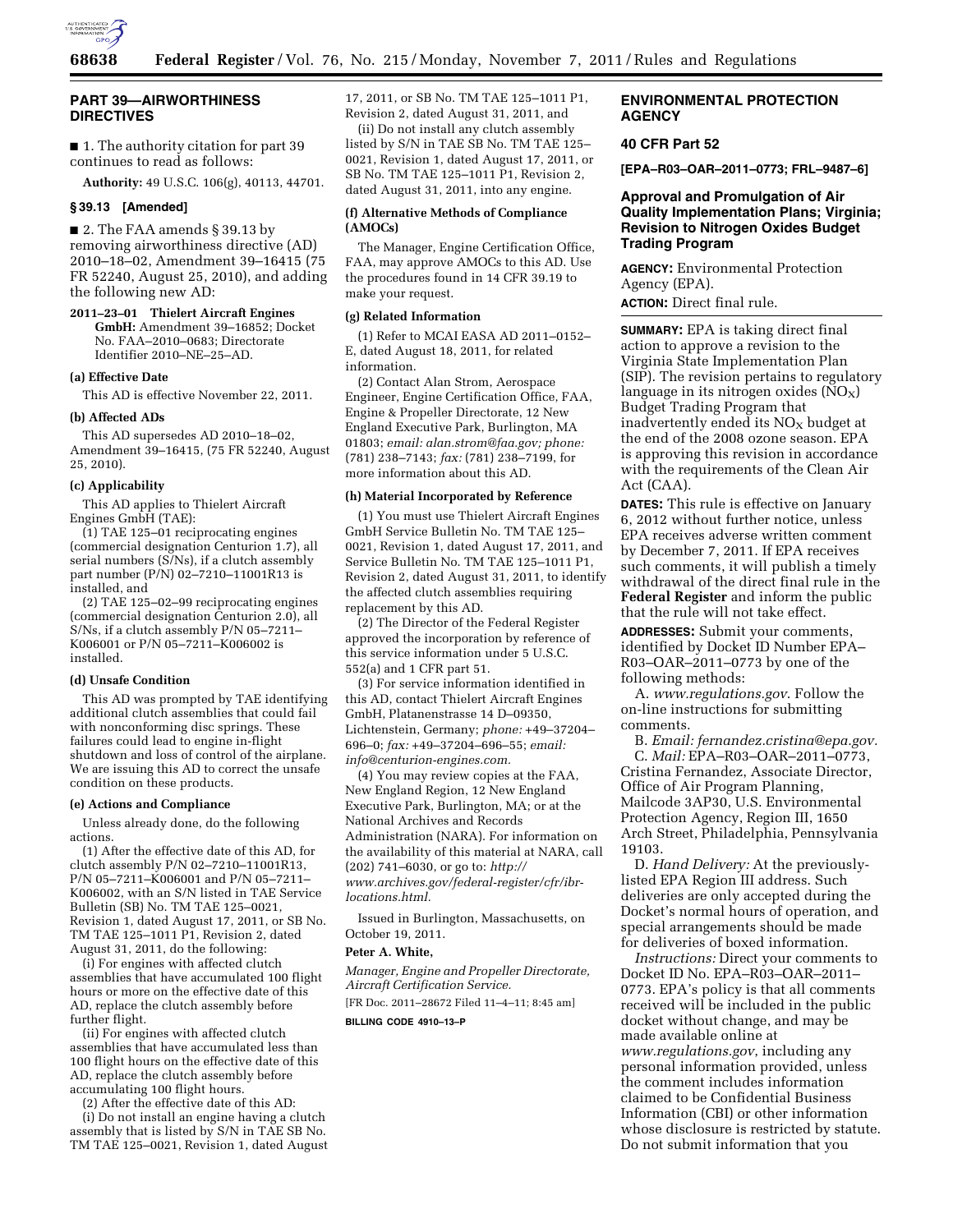

# **PART 39—AIRWORTHINESS DIRECTIVES**

■ 1. The authority citation for part 39 continues to read as follows:

**Authority:** 49 U.S.C. 106(g), 40113, 44701.

## **§ 39.13 [Amended]**

■ 2. The FAA amends § 39.13 by removing airworthiness directive (AD) 2010–18–02, Amendment 39–16415 (75 FR 52240, August 25, 2010), and adding the following new AD:

**2011–23–01 Thielert Aircraft Engines GmbH:** Amendment 39–16852; Docket No. FAA–2010–0683; Directorate Identifier 2010–NE–25–AD.

## **(a) Effective Date**

This AD is effective November 22, 2011.

## **(b) Affected ADs**

This AD supersedes AD 2010–18–02, Amendment 39–16415, (75 FR 52240, August 25, 2010).

# **(c) Applicability**

This AD applies to Thielert Aircraft Engines GmbH (TAE):

(1) TAE 125–01 reciprocating engines (commercial designation Centurion 1.7), all serial numbers (S/Ns), if a clutch assembly part number (P/N) 02–7210–11001R13 is installed, and

(2) TAE 125–02–99 reciprocating engines (commercial designation Centurion 2.0), all S/Ns, if a clutch assembly P/N 05–7211– K006001 or P/N 05–7211–K006002 is installed.

## **(d) Unsafe Condition**

This AD was prompted by TAE identifying additional clutch assemblies that could fail with nonconforming disc springs. These failures could lead to engine in-flight shutdown and loss of control of the airplane. We are issuing this AD to correct the unsafe condition on these products.

## **(e) Actions and Compliance**

Unless already done, do the following actions.

(1) After the effective date of this AD, for clutch assembly P/N 02–7210–11001R13, P/N 05–7211–K006001 and P/N 05–7211– K006002, with an S/N listed in TAE Service Bulletin (SB) No. TM TAE 125–0021, Revision 1, dated August 17, 2011, or SB No. TM TAE 125–1011 P1, Revision 2, dated August 31, 2011, do the following:

(i) For engines with affected clutch assemblies that have accumulated 100 flight hours or more on the effective date of this AD, replace the clutch assembly before further flight.

(ii) For engines with affected clutch assemblies that have accumulated less than 100 flight hours on the effective date of this AD, replace the clutch assembly before accumulating 100 flight hours.

(2) After the effective date of this AD:

(i) Do not install an engine having a clutch assembly that is listed by S/N in TAE SB No. TM TAE 125–0021, Revision 1, dated August 17, 2011, or SB No. TM TAE 125–1011 P1, Revision 2, dated August 31, 2011, and

(ii) Do not install any clutch assembly listed by S/N in TAE SB No. TM TAE 125– 0021, Revision 1, dated August 17, 2011, or SB No. TM TAE 125–1011 P1, Revision 2, dated August 31, 2011, into any engine.

# **(f) Alternative Methods of Compliance (AMOCs)**

The Manager, Engine Certification Office, FAA, may approve AMOCs to this AD. Use the procedures found in 14 CFR 39.19 to make your request.

## **(g) Related Information**

(1) Refer to MCAI EASA AD 2011–0152– E, dated August 18, 2011, for related information.

(2) Contact Alan Strom, Aerospace Engineer, Engine Certification Office, FAA, Engine & Propeller Directorate, 12 New England Executive Park, Burlington, MA 01803; *email: [alan.strom@faa.gov;](mailto:alan.strom@faa.gov) phone:*  (781) 238–7143; *fax:* (781) 238–7199, for more information about this AD.

## **(h) Material Incorporated by Reference**

(1) You must use Thielert Aircraft Engines GmbH Service Bulletin No. TM TAE 125– 0021, Revision 1, dated August 17, 2011, and Service Bulletin No. TM TAE 125–1011 P1, Revision 2, dated August 31, 2011, to identify the affected clutch assemblies requiring replacement by this AD.

(2) The Director of the Federal Register approved the incorporation by reference of this service information under 5 U.S.C. 552(a) and 1 CFR part 51.

(3) For service information identified in this AD, contact Thielert Aircraft Engines GmbH, Platanenstrasse 14 D–09350, Lichtenstein, Germany; *phone:* +49–37204– 696–0; *fax:* +49–37204–696–55; *email: [info@centurion-engines.com.](mailto:info@centurion-engines.com)* 

(4) You may review copies at the FAA, New England Region, 12 New England Executive Park, Burlington, MA; or at the National Archives and Records Administration (NARA). For information on the availability of this material at NARA, call (202) 741–6030, or go to: *[http://](http://www.archives.gov/federal-register/cfr/ibr-locations.html) [www.archives.gov/federal-register/cfr/ibr](http://www.archives.gov/federal-register/cfr/ibr-locations.html)[locations.html.](http://www.archives.gov/federal-register/cfr/ibr-locations.html)* 

Issued in Burlington, Massachusetts, on October 19, 2011.

## **Peter A. White,**

*Manager, Engine and Propeller Directorate, Aircraft Certification Service.* 

[FR Doc. 2011–28672 Filed 11–4–11; 8:45 am] **BILLING CODE 4910–13–P** 

# **ENVIRONMENTAL PROTECTION AGENCY**

# **40 CFR Part 52**

**[EPA–R03–OAR–2011–0773; FRL–9487–6]** 

# **Approval and Promulgation of Air Quality Implementation Plans; Virginia; Revision to Nitrogen Oxides Budget Trading Program**

**AGENCY:** Environmental Protection Agency (EPA).

**ACTION:** Direct final rule.

**SUMMARY:** EPA is taking direct final action to approve a revision to the Virginia State Implementation Plan (SIP). The revision pertains to regulatory language in its nitrogen oxides  $(NO<sub>X</sub>)$ Budget Trading Program that inadvertently ended its  $NO<sub>X</sub>$  budget at the end of the 2008 ozone season. EPA is approving this revision in accordance with the requirements of the Clean Air Act (CAA).

**DATES:** This rule is effective on January 6, 2012 without further notice, unless EPA receives adverse written comment by December 7, 2011. If EPA receives such comments, it will publish a timely withdrawal of the direct final rule in the **Federal Register** and inform the public that the rule will not take effect.

**ADDRESSES:** Submit your comments, identified by Docket ID Number EPA– R03–OAR–2011–0773 by one of the following methods:

A. *[www.regulations.gov](http://www.regulations.gov)*. Follow the on-line instructions for submitting comments.

B. *Email: [fernandez.cristina@epa.gov.](mailto:fernandez.cristina@epa.gov)*  C. *Mail:* EPA–R03–OAR–2011–0773, Cristina Fernandez, Associate Director, Office of Air Program Planning, Mailcode 3AP30, U.S. Environmental Protection Agency, Region III, 1650 Arch Street, Philadelphia, Pennsylvania 19103.

D. *Hand Delivery:* At the previouslylisted EPA Region III address. Such deliveries are only accepted during the Docket's normal hours of operation, and special arrangements should be made for deliveries of boxed information.

*Instructions:* Direct your comments to Docket ID No. EPA–R03–OAR–2011– 0773. EPA's policy is that all comments received will be included in the public docket without change, and may be made available online at *[www.regulations.gov](http://www.regulations.gov)*, including any personal information provided, unless the comment includes information claimed to be Confidential Business Information (CBI) or other information whose disclosure is restricted by statute. Do not submit information that you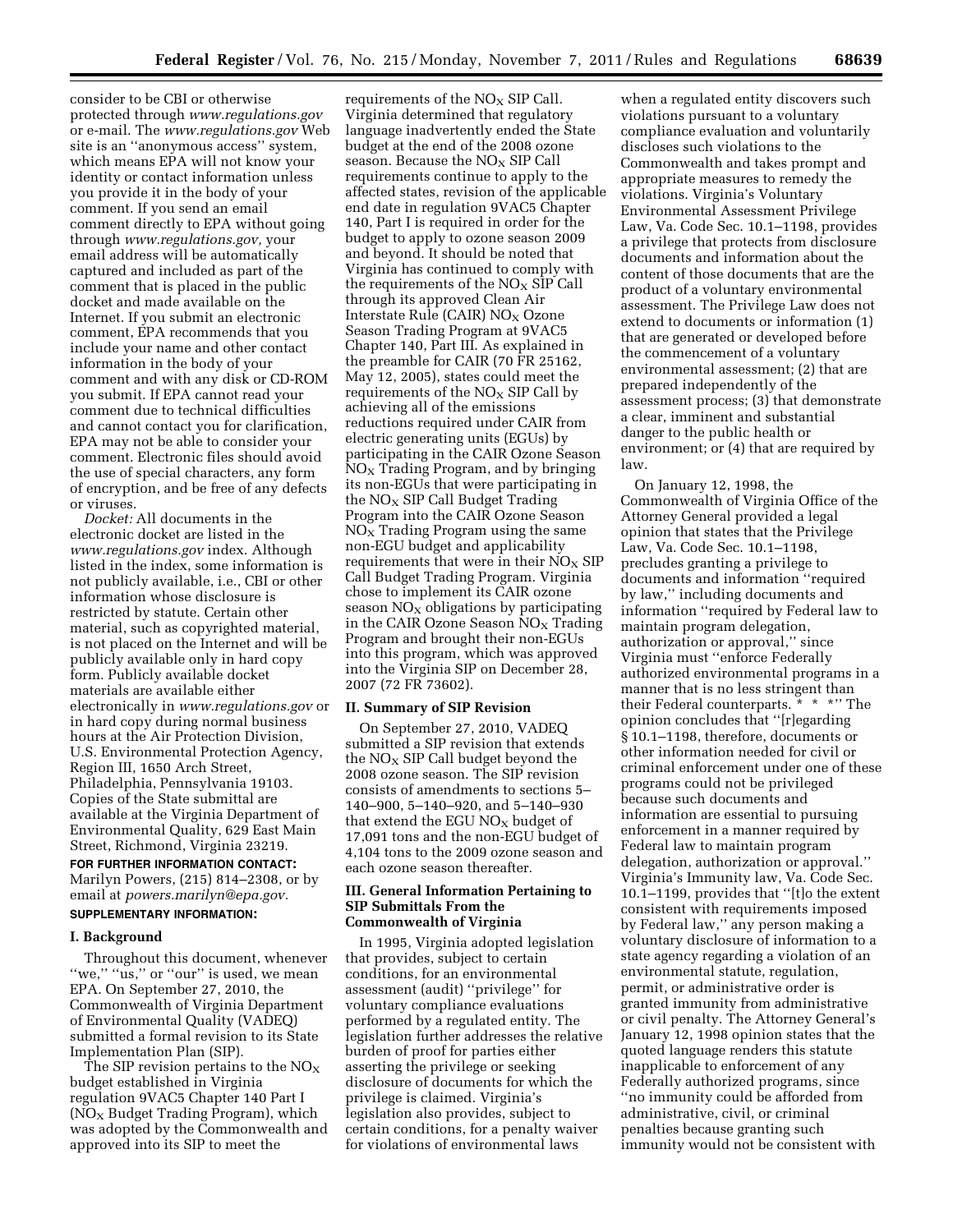consider to be CBI or otherwise protected through *[www.regulations.gov](http://www.regulations.gov)*  or e-mail. The *[www.regulations.gov](http://www.regulations.gov)* Web site is an ''anonymous access'' system, which means EPA will not know your identity or contact information unless you provide it in the body of your comment. If you send an email comment directly to EPA without going through *[www.regulations.gov,](http://www.regulations.gov)* your email address will be automatically captured and included as part of the comment that is placed in the public docket and made available on the Internet. If you submit an electronic comment, EPA recommends that you include your name and other contact information in the body of your comment and with any disk or CD-ROM you submit. If EPA cannot read your comment due to technical difficulties and cannot contact you for clarification, EPA may not be able to consider your comment. Electronic files should avoid the use of special characters, any form of encryption, and be free of any defects or viruses.

*Docket:* All documents in the electronic docket are listed in the *[www.regulations.gov](http://www.regulations.gov)* index. Although listed in the index, some information is not publicly available, i.e., CBI or other information whose disclosure is restricted by statute. Certain other material, such as copyrighted material, is not placed on the Internet and will be publicly available only in hard copy form. Publicly available docket materials are available either electronically in *[www.regulations.gov](http://www.regulations.gov)* or in hard copy during normal business hours at the Air Protection Division, U.S. Environmental Protection Agency, Region III, 1650 Arch Street, Philadelphia, Pennsylvania 19103. Copies of the State submittal are available at the Virginia Department of Environmental Quality, 629 East Main Street, Richmond, Virginia 23219.

# **FOR FURTHER INFORMATION CONTACT:**  Marilyn Powers, (215) 814–2308, or by email at *[powers.marilyn@epa.gov.](mailto:powers.marilyn@epa.gov)*  **SUPPLEMENTARY INFORMATION:**

# **I. Background**

Throughout this document, whenever "we," "us," or "our" is used, we mean EPA. On September 27, 2010, the Commonwealth of Virginia Department of Environmental Quality (VADEQ) submitted a formal revision to its State Implementation Plan (SIP).

The SIP revision pertains to the  $NO<sub>x</sub>$ budget established in Virginia regulation 9VAC5 Chapter 140 Part I  $NO<sub>x</sub>$  Budget Trading Program), which was adopted by the Commonwealth and approved into its SIP to meet the

requirements of the  $NO<sub>x</sub>$  SIP Call. Virginia determined that regulatory language inadvertently ended the State budget at the end of the 2008 ozone season. Because the  $NO<sub>x</sub>$  SIP Call requirements continue to apply to the affected states, revision of the applicable end date in regulation 9VAC5 Chapter 140, Part I is required in order for the budget to apply to ozone season 2009 and beyond. It should be noted that Virginia has continued to comply with the requirements of the  $NO<sub>X</sub>$  SIP Call through its approved Clean Air Interstate Rule (CAIR)  $NO<sub>X</sub> Ozone$ Season Trading Program at 9VAC5 Chapter 140, Part III. As explained in the preamble for CAIR (70 FR 25162, May 12, 2005), states could meet the requirements of the  $NO<sub>x</sub>$  SIP Call by achieving all of the emissions reductions required under CAIR from electric generating units (EGUs) by participating in the CAIR Ozone Season  $NO<sub>x</sub>$  Trading Program, and by bringing its non-EGUs that were participating in the  $NO<sub>X</sub>$  SIP Call Budget Trading Program into the CAIR Ozone Season  $NO<sub>x</sub>$  Trading Program using the same non-EGU budget and applicability requirements that were in their  $NO<sub>x</sub>$  SIP Call Budget Trading Program. Virginia chose to implement its CAIR ozone season  $NO<sub>x</sub>$  obligations by participating in the CAIR Ozone Season  $NO<sub>x</sub>$  Trading Program and brought their non-EGUs into this program, which was approved into the Virginia SIP on December 28, 2007 (72 FR 73602).

## **II. Summary of SIP Revision**

On September 27, 2010, VADEQ submitted a SIP revision that extends the  $NO<sub>X</sub>$  SIP Call budget beyond the 2008 ozone season. The SIP revision consists of amendments to sections 5– 140–900, 5–140–920, and 5–140–930 that extend the EGU  $NO<sub>X</sub>$  budget of 17,091 tons and the non-EGU budget of 4,104 tons to the 2009 ozone season and each ozone season thereafter.

## **III. General Information Pertaining to SIP Submittals From the Commonwealth of Virginia**

In 1995, Virginia adopted legislation that provides, subject to certain conditions, for an environmental assessment (audit) ''privilege'' for voluntary compliance evaluations performed by a regulated entity. The legislation further addresses the relative burden of proof for parties either asserting the privilege or seeking disclosure of documents for which the privilege is claimed. Virginia's legislation also provides, subject to certain conditions, for a penalty waiver for violations of environmental laws

when a regulated entity discovers such violations pursuant to a voluntary compliance evaluation and voluntarily discloses such violations to the Commonwealth and takes prompt and appropriate measures to remedy the violations. Virginia's Voluntary Environmental Assessment Privilege Law, Va. Code Sec. 10.1–1198, provides a privilege that protects from disclosure documents and information about the content of those documents that are the product of a voluntary environmental assessment. The Privilege Law does not extend to documents or information (1) that are generated or developed before the commencement of a voluntary environmental assessment; (2) that are prepared independently of the assessment process; (3) that demonstrate a clear, imminent and substantial danger to the public health or environment; or (4) that are required by law.

On January 12, 1998, the Commonwealth of Virginia Office of the Attorney General provided a legal opinion that states that the Privilege Law, Va. Code Sec. 10.1–1198, precludes granting a privilege to documents and information ''required by law,'' including documents and information ''required by Federal law to maintain program delegation, authorization or approval,'' since Virginia must ''enforce Federally authorized environmental programs in a manner that is no less stringent than their Federal counterparts. \* \* \*'' The opinion concludes that ''[r]egarding § 10.1–1198, therefore, documents or other information needed for civil or criminal enforcement under one of these programs could not be privileged because such documents and information are essential to pursuing enforcement in a manner required by Federal law to maintain program delegation, authorization or approval.'' Virginia's Immunity law, Va. Code Sec. 10.1–1199, provides that ''[t]o the extent consistent with requirements imposed by Federal law,'' any person making a voluntary disclosure of information to a state agency regarding a violation of an environmental statute, regulation, permit, or administrative order is granted immunity from administrative or civil penalty. The Attorney General's January 12, 1998 opinion states that the quoted language renders this statute inapplicable to enforcement of any Federally authorized programs, since ''no immunity could be afforded from administrative, civil, or criminal penalties because granting such immunity would not be consistent with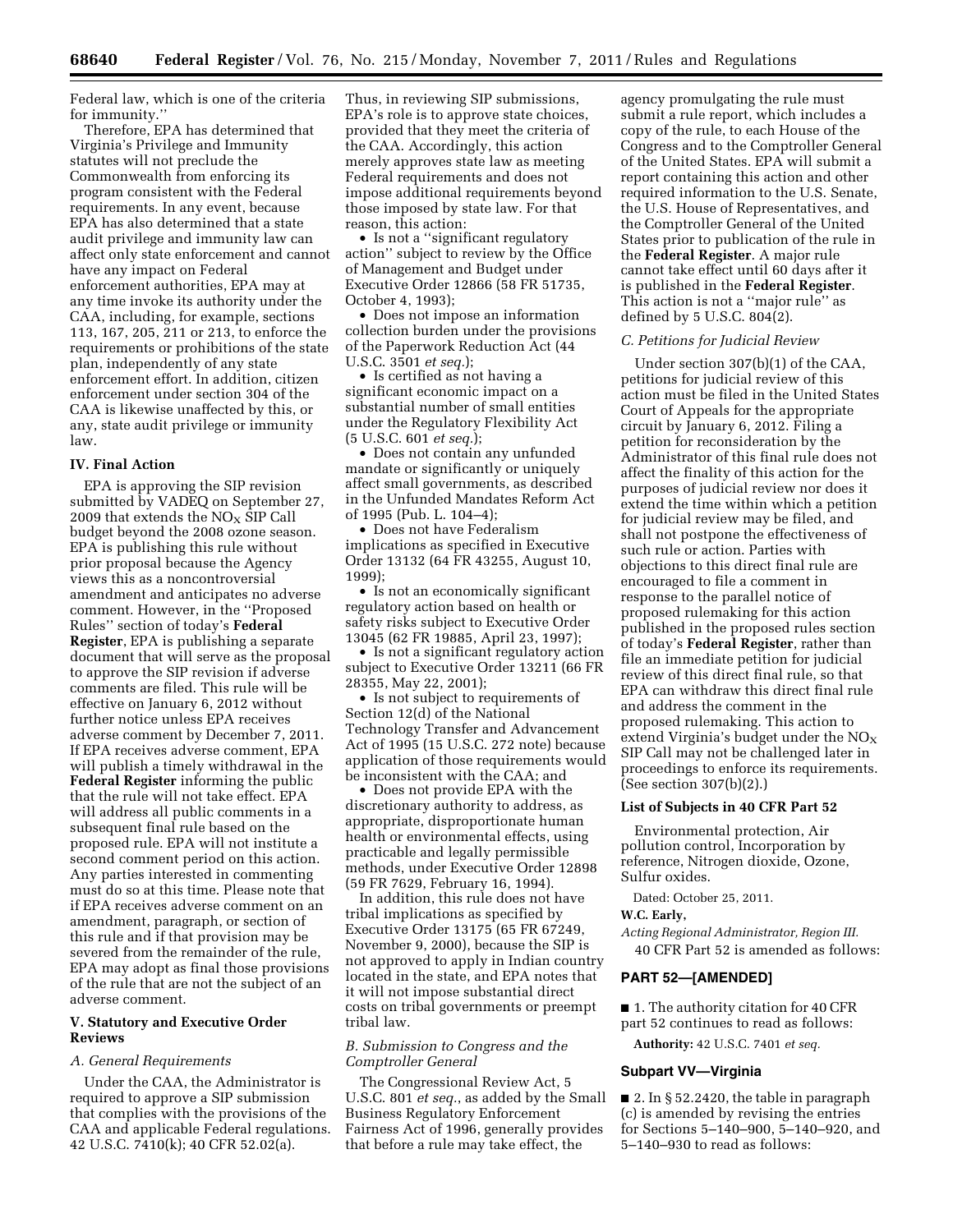Federal law, which is one of the criteria for immunity.''

Therefore, EPA has determined that Virginia's Privilege and Immunity statutes will not preclude the Commonwealth from enforcing its program consistent with the Federal requirements. In any event, because EPA has also determined that a state audit privilege and immunity law can affect only state enforcement and cannot have any impact on Federal enforcement authorities, EPA may at any time invoke its authority under the CAA, including, for example, sections 113, 167, 205, 211 or 213, to enforce the requirements or prohibitions of the state plan, independently of any state enforcement effort. In addition, citizen enforcement under section 304 of the CAA is likewise unaffected by this, or any, state audit privilege or immunity law.

# **IV. Final Action**

EPA is approving the SIP revision submitted by VADEQ on September 27, 2009 that extends the  $NO<sub>x</sub>$  SIP Call budget beyond the 2008 ozone season. EPA is publishing this rule without prior proposal because the Agency views this as a noncontroversial amendment and anticipates no adverse comment. However, in the ''Proposed Rules'' section of today's **Federal Register**, EPA is publishing a separate document that will serve as the proposal to approve the SIP revision if adverse comments are filed. This rule will be effective on January 6, 2012 without further notice unless EPA receives adverse comment by December 7, 2011. If EPA receives adverse comment, EPA will publish a timely withdrawal in the **Federal Register** informing the public that the rule will not take effect. EPA will address all public comments in a subsequent final rule based on the proposed rule. EPA will not institute a second comment period on this action. Any parties interested in commenting must do so at this time. Please note that if EPA receives adverse comment on an amendment, paragraph, or section of this rule and if that provision may be severed from the remainder of the rule, EPA may adopt as final those provisions of the rule that are not the subject of an adverse comment.

# **V. Statutory and Executive Order Reviews**

## *A. General Requirements*

Under the CAA, the Administrator is required to approve a SIP submission that complies with the provisions of the CAA and applicable Federal regulations. 42 U.S.C. 7410(k); 40 CFR 52.02(a).

Thus, in reviewing SIP submissions, EPA's role is to approve state choices, provided that they meet the criteria of the CAA. Accordingly, this action merely approves state law as meeting Federal requirements and does not impose additional requirements beyond those imposed by state law. For that reason, this action:

• Is not a ''significant regulatory action'' subject to review by the Office of Management and Budget under Executive Order 12866 (58 FR 51735, October 4, 1993);

• Does not impose an information collection burden under the provisions of the Paperwork Reduction Act (44 U.S.C. 3501 *et seq.*);

• Is certified as not having a significant economic impact on a substantial number of small entities under the Regulatory Flexibility Act (5 U.S.C. 601 *et seq.*);

• Does not contain any unfunded mandate or significantly or uniquely affect small governments, as described in the Unfunded Mandates Reform Act of 1995 (Pub. L. 104–4);

• Does not have Federalism implications as specified in Executive Order 13132 (64 FR 43255, August 10, 1999);

• Is not an economically significant regulatory action based on health or safety risks subject to Executive Order 13045 (62 FR 19885, April 23, 1997);

• Is not a significant regulatory action subject to Executive Order 13211 (66 FR 28355, May 22, 2001);

• Is not subject to requirements of Section 12(d) of the National Technology Transfer and Advancement Act of 1995 (15 U.S.C. 272 note) because application of those requirements would be inconsistent with the CAA; and

• Does not provide EPA with the discretionary authority to address, as appropriate, disproportionate human health or environmental effects, using practicable and legally permissible methods, under Executive Order 12898 (59 FR 7629, February 16, 1994).

In addition, this rule does not have tribal implications as specified by Executive Order 13175 (65 FR 67249, November 9, 2000), because the SIP is not approved to apply in Indian country located in the state, and EPA notes that it will not impose substantial direct costs on tribal governments or preempt tribal law.

## *B. Submission to Congress and the Comptroller General*

The Congressional Review Act, 5 U.S.C. 801 *et seq.*, as added by the Small Business Regulatory Enforcement Fairness Act of 1996, generally provides that before a rule may take effect, the

agency promulgating the rule must submit a rule report, which includes a copy of the rule, to each House of the Congress and to the Comptroller General of the United States. EPA will submit a report containing this action and other required information to the U.S. Senate, the U.S. House of Representatives, and the Comptroller General of the United States prior to publication of the rule in the **Federal Register**. A major rule cannot take effect until 60 days after it is published in the **Federal Register**. This action is not a ''major rule'' as defined by 5 U.S.C. 804(2).

## *C. Petitions for Judicial Review*

Under section 307(b)(1) of the CAA, petitions for judicial review of this action must be filed in the United States Court of Appeals for the appropriate circuit by January 6, 2012. Filing a petition for reconsideration by the Administrator of this final rule does not affect the finality of this action for the purposes of judicial review nor does it extend the time within which a petition for judicial review may be filed, and shall not postpone the effectiveness of such rule or action. Parties with objections to this direct final rule are encouraged to file a comment in response to the parallel notice of proposed rulemaking for this action published in the proposed rules section of today's **Federal Register**, rather than file an immediate petition for judicial review of this direct final rule, so that EPA can withdraw this direct final rule and address the comment in the proposed rulemaking. This action to extend Virginia's budget under the  $NO<sub>x</sub>$ SIP Call may not be challenged later in proceedings to enforce its requirements. (See section 307(b)(2).)

## **List of Subjects in 40 CFR Part 52**

Environmental protection, Air pollution control, Incorporation by reference, Nitrogen dioxide, Ozone, Sulfur oxides.

Dated: October 25, 2011.

**W.C. Early,** 

*Acting Regional Administrator, Region III.*  40 CFR Part 52 is amended as follows:

# **PART 52—[AMENDED]**

■ 1. The authority citation for 40 CFR part 52 continues to read as follows:

**Authority:** 42 U.S.C. 7401 *et seq.* 

## **Subpart VV—Virginia**

■ 2. In § 52.2420, the table in paragraph (c) is amended by revising the entries for Sections 5–140–900, 5–140–920, and 5–140–930 to read as follows: